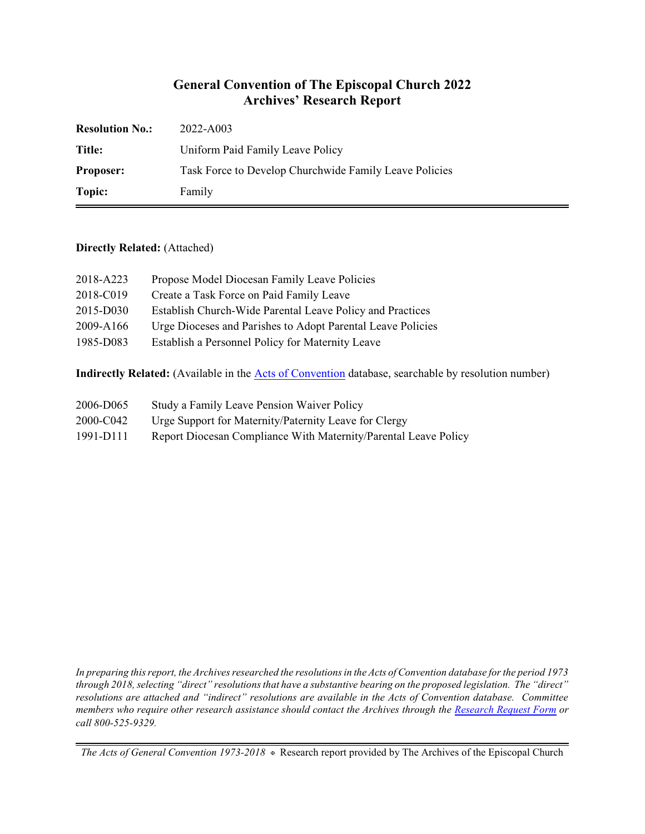## **General Convention of The Episcopal Church 2022 Archives' Research Report**

| <b>Resolution No.:</b> | 2022-A003                                              |
|------------------------|--------------------------------------------------------|
| Title:                 | Uniform Paid Family Leave Policy                       |
| <b>Proposer:</b>       | Task Force to Develop Churchwide Family Leave Policies |
| Topic:                 | Family                                                 |

#### **Directly Related:** (Attached)

| 2018-A223 | Propose Model Diocesan Family Leave Policies                |
|-----------|-------------------------------------------------------------|
| 2018-C019 | Create a Task Force on Paid Family Leave                    |
| 2015-D030 | Establish Church-Wide Parental Leave Policy and Practices   |
| 2009-A166 | Urge Dioceses and Parishes to Adopt Parental Leave Policies |
| 1985-D083 | Establish a Personnel Policy for Maternity Leave            |
|           |                                                             |

**Indirectly Related:** (Available in the [Acts of Convention](https://www.episcopalarchives.org/e-archives/acts/) database, searchable by resolution number)

| 2006-D065 | Study a Family Leave Pension Waiver Policy                      |
|-----------|-----------------------------------------------------------------|
| 2000-C042 | Urge Support for Maternity/Paternity Leave for Clergy           |
| 1991-D111 | Report Diocesan Compliance With Maternity/Parental Leave Policy |

*In preparing this report, the Archives researched the resolutions in the Acts of Convention database for the period 1973 through 2018, selecting "direct" resolutions that have a substantive bearing on the proposed legislation. The "direct" resolutions are attached and "indirect" resolutions are available in the Acts of Convention database. Committee members who require other research assistance should contact the Archives through the Research [Request Form](https://www.episcopalarchives.org/contact/research-request-form) or call 800-525-9329.*

*The Acts of General Convention 1973-2018*  $*$  Research report provided by The Archives of the Episcopal Church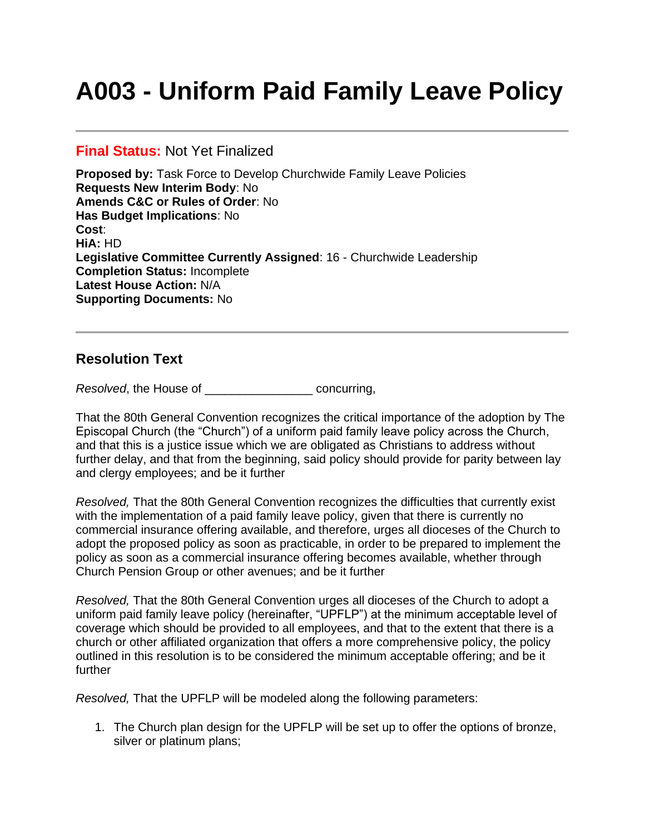# **A003 - Uniform Paid Family Leave Policy**

### **Final Status:** Not Yet Finalized

**Proposed by:** Task Force to Develop Churchwide Family Leave Policies **Requests New Interim Body**: No **Amends C&C or Rules of Order**: No **Has Budget Implications**: No **Cost**: **HiA:** HD **Legislative Committee Currently Assigned**: 16 - Churchwide Leadership **Completion Status:** Incomplete **Latest House Action:** N/A **Supporting Documents:** No

## **Resolution Text**

*Resolved*, the House of \_\_\_\_\_\_\_\_\_\_\_\_\_\_\_\_ concurring,

That the 80th General Convention recognizes the critical importance of the adoption by The Episcopal Church (the "Church") of a uniform paid family leave policy across the Church, and that this is a justice issue which we are obligated as Christians to address without further delay, and that from the beginning, said policy should provide for parity between lay and clergy employees; and be it further

*Resolved,* That the 80th General Convention recognizes the difficulties that currently exist with the implementation of a paid family leave policy, given that there is currently no commercial insurance offering available, and therefore, urges all dioceses of the Church to adopt the proposed policy as soon as practicable, in order to be prepared to implement the policy as soon as a commercial insurance offering becomes available, whether through Church Pension Group or other avenues; and be it further

*Resolved,* That the 80th General Convention urges all dioceses of the Church to adopt a uniform paid family leave policy (hereinafter, "UPFLP") at the minimum acceptable level of coverage which should be provided to all employees, and that to the extent that there is a church or other affiliated organization that offers a more comprehensive policy, the policy outlined in this resolution is to be considered the minimum acceptable offering; and be it further

*Resolved,* That the UPFLP will be modeled along the following parameters:

1. The Church plan design for the UPFLP will be set up to offer the options of bronze, silver or platinum plans;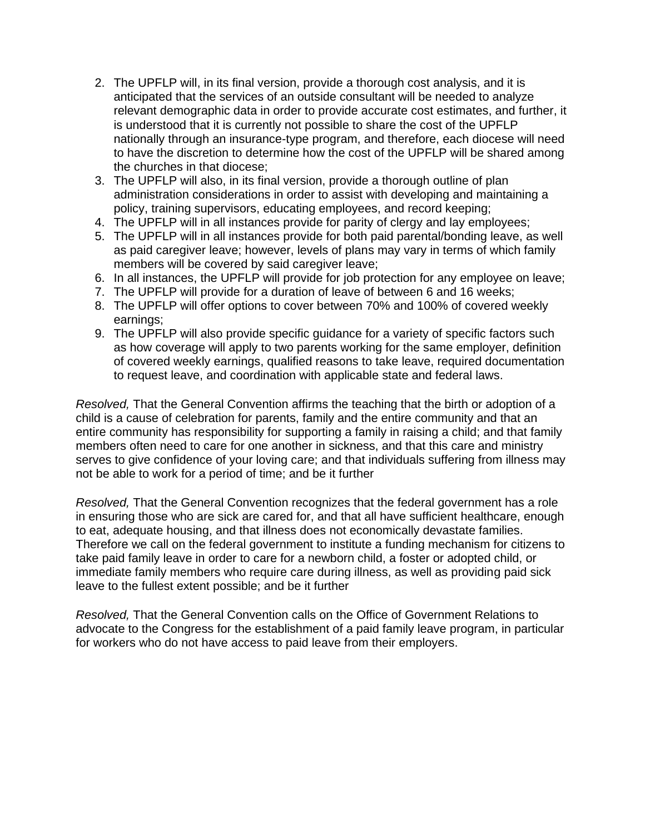- 2. The UPFLP will, in its final version, provide a thorough cost analysis, and it is anticipated that the services of an outside consultant will be needed to analyze relevant demographic data in order to provide accurate cost estimates, and further, it is understood that it is currently not possible to share the cost of the UPFLP nationally through an insurance-type program, and therefore, each diocese will need to have the discretion to determine how the cost of the UPFLP will be shared among the churches in that diocese;
- 3. The UPFLP will also, in its final version, provide a thorough outline of plan administration considerations in order to assist with developing and maintaining a policy, training supervisors, educating employees, and record keeping;
- 4. The UPFLP will in all instances provide for parity of clergy and lay employees;
- 5. The UPFLP will in all instances provide for both paid parental/bonding leave, as well as paid caregiver leave; however, levels of plans may vary in terms of which family members will be covered by said caregiver leave;
- 6. In all instances, the UPFLP will provide for job protection for any employee on leave;
- 7. The UPFLP will provide for a duration of leave of between 6 and 16 weeks;
- 8. The UPFLP will offer options to cover between 70% and 100% of covered weekly earnings;
- 9. The UPFLP will also provide specific guidance for a variety of specific factors such as how coverage will apply to two parents working for the same employer, definition of covered weekly earnings, qualified reasons to take leave, required documentation to request leave, and coordination with applicable state and federal laws.

*Resolved,* That the General Convention affirms the teaching that the birth or adoption of a child is a cause of celebration for parents, family and the entire community and that an entire community has responsibility for supporting a family in raising a child; and that family members often need to care for one another in sickness, and that this care and ministry serves to give confidence of your loving care; and that individuals suffering from illness may not be able to work for a period of time; and be it further

*Resolved,* That the General Convention recognizes that the federal government has a role in ensuring those who are sick are cared for, and that all have sufficient healthcare, enough to eat, adequate housing, and that illness does not economically devastate families. Therefore we call on the federal government to institute a funding mechanism for citizens to take paid family leave in order to care for a newborn child, a foster or adopted child, or immediate family members who require care during illness, as well as providing paid sick leave to the fullest extent possible; and be it further

*Resolved,* That the General Convention calls on the Office of Government Relations to advocate to the Congress for the establishment of a paid family leave program, in particular for workers who do not have access to paid leave from their employers.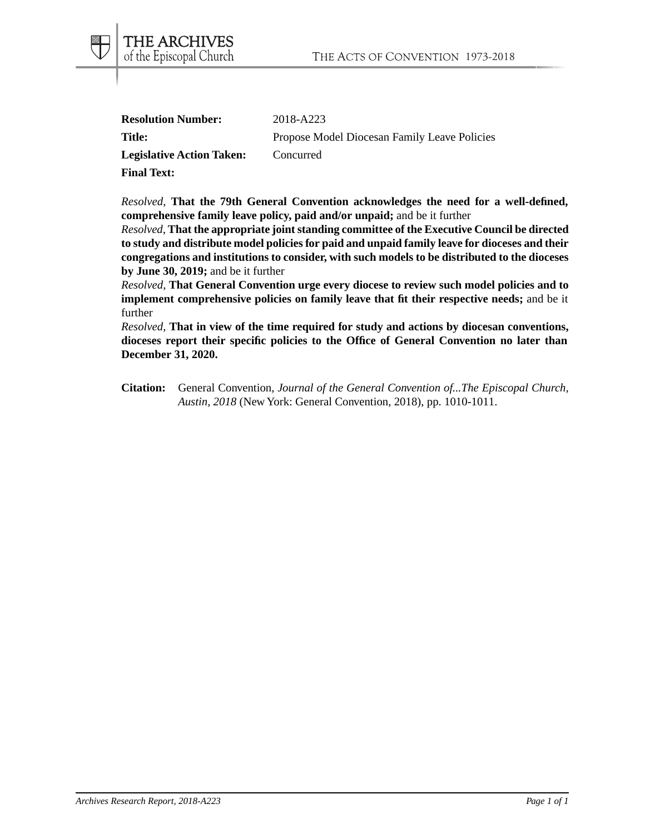| <b>Resolution Number:</b>        | 2018-A223                                    |
|----------------------------------|----------------------------------------------|
| Title:                           | Propose Model Diocesan Family Leave Policies |
| <b>Legislative Action Taken:</b> | Concurred                                    |
| <b>Final Text:</b>               |                                              |

THE ARCHIVES of the Episcopal Church

*Resolved*, **That the 79th General Convention acknowledges the need for a well-defined, comprehensive family leave policy, paid and/or unpaid;** and be it further

*Resolved*, **That the appropriate joint standing committee of the Executive Council be directed to study and distribute model policies for paid and unpaid family leave for dioceses and their congregations and institutions to consider, with such models to be distributed to the dioceses by June 30, 2019;** and be it further

*Resolved*, **That General Convention urge every diocese to review such model policies and to implement comprehensive policies on family leave that fit their respective needs;** and be it further

*Resolved*, **That in view of the time required for study and actions by diocesan conventions, dioceses report their specific policies to the Office of General Convention no later than December 31, 2020.**

**Citation:** General Convention, *Journal of the General Convention of...The Episcopal Church, Austin, 2018* (New York: General Convention, 2018), pp. 1010-1011.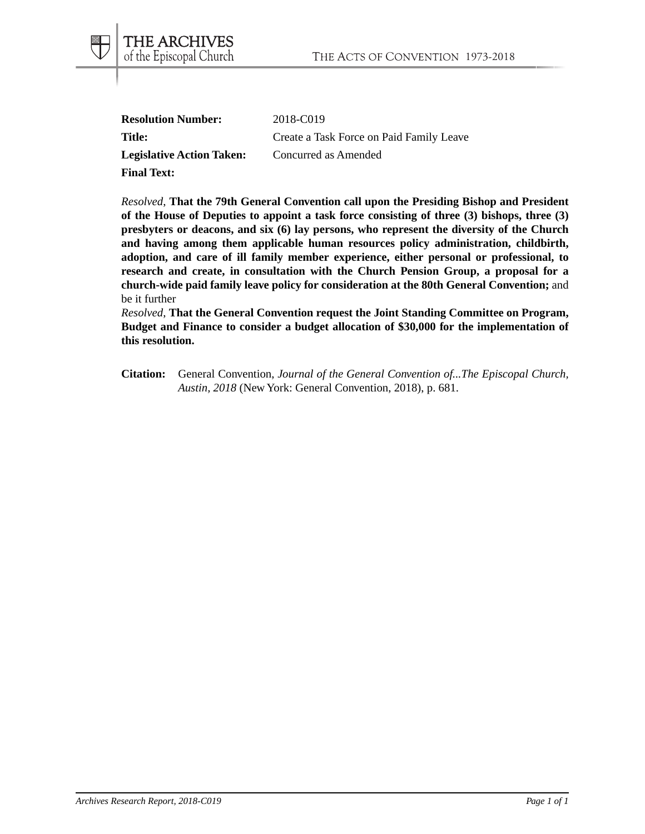| <b>Resolution Number:</b>        | 2018-C019                                |
|----------------------------------|------------------------------------------|
| <b>Title:</b>                    | Create a Task Force on Paid Family Leave |
| <b>Legislative Action Taken:</b> | Concurred as Amended                     |
| <b>Final Text:</b>               |                                          |

THE ARCHIVES of the Episcopal Church

*Resolved*, **That the 79th General Convention call upon the Presiding Bishop and President of the House of Deputies to appoint a task force consisting of three (3) bishops, three (3) presbyters or deacons, and six (6) lay persons, who represent the diversity of the Church and having among them applicable human resources policy administration, childbirth, adoption, and care of ill family member experience, either personal or professional, to research and create, in consultation with the Church Pension Group, a proposal for a church-wide paid family leave policy for consideration at the 80th General Convention;** and be it further

*Resolved*, **That the General Convention request the Joint Standing Committee on Program, Budget and Finance to consider a budget allocation of \$30,000 for the implementation of this resolution.**

**Citation:** General Convention, *Journal of the General Convention of...The Episcopal Church, Austin, 2018* (New York: General Convention, 2018), p. 681.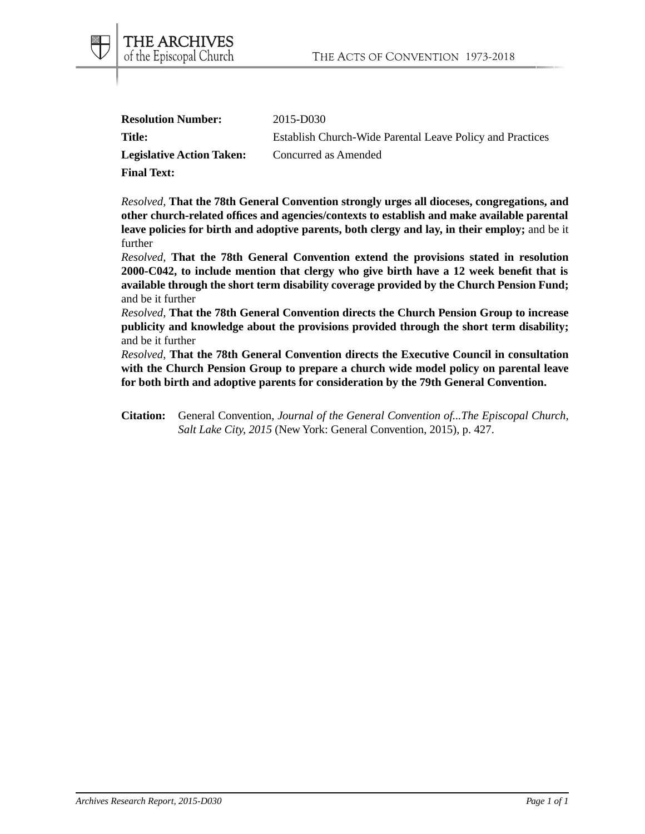| <b>Resolution Number:</b>        | 2015-D030                                                 |
|----------------------------------|-----------------------------------------------------------|
| Title:                           | Establish Church-Wide Parental Leave Policy and Practices |
| <b>Legislative Action Taken:</b> | Concurred as Amended                                      |
| <b>Final Text:</b>               |                                                           |

THE ARCHIVES of the Episcopal Church

*Resolved*, **That the 78th General Convention strongly urges all dioceses, congregations, and other church-related offices and agencies/contexts to establish and make available parental leave policies for birth and adoptive parents, both clergy and lay, in their employ;** and be it further

*Resolved*, **That the 78th General Convention extend the provisions stated in resolution 2000-C042, to include mention that clergy who give birth have a 12 week benefit that is available through the short term disability coverage provided by the Church Pension Fund;** and be it further

*Resolved*, **That the 78th General Convention directs the Church Pension Group to increase publicity and knowledge about the provisions provided through the short term disability;** and be it further

*Resolved*, **That the 78th General Convention directs the Executive Council in consultation with the Church Pension Group to prepare a church wide model policy on parental leave for both birth and adoptive parents for consideration by the 79th General Convention.**

#### **Citation:** General Convention, *Journal of the General Convention of...The Episcopal Church, Salt Lake City, 2015* (New York: General Convention, 2015), p. 427.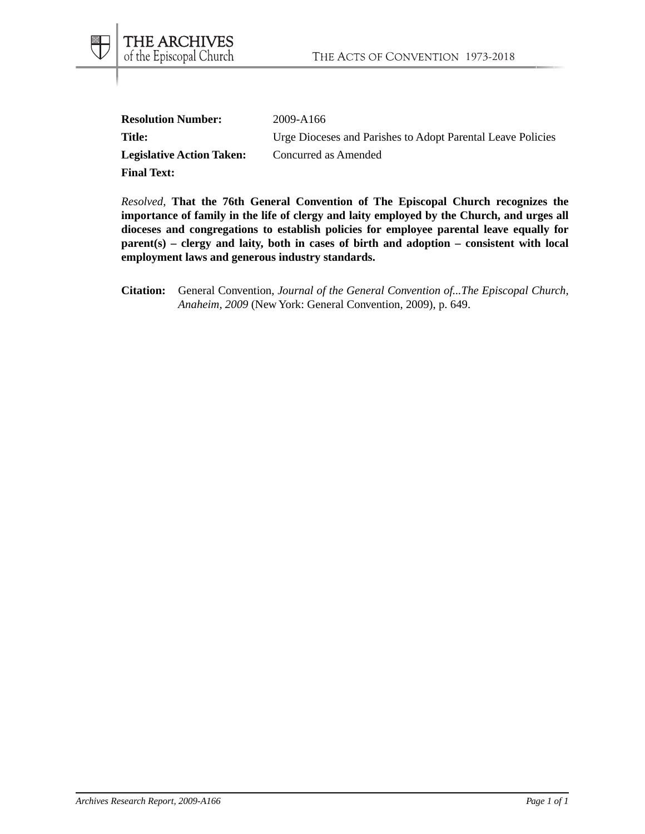| <b>Resolution Number:</b>        | 2009-A166                                                   |
|----------------------------------|-------------------------------------------------------------|
| <b>Title:</b>                    | Urge Dioceses and Parishes to Adopt Parental Leave Policies |
| <b>Legislative Action Taken:</b> | Concurred as Amended                                        |
| <b>Final Text:</b>               |                                                             |

*Resolved*, **That the 76th General Convention of The Episcopal Church recognizes the importance of family in the life of clergy and laity employed by the Church, and urges all dioceses and congregations to establish policies for employee parental leave equally for parent(s) – clergy and laity, both in cases of birth and adoption – consistent with local employment laws and generous industry standards.**

**Citation:** General Convention, *Journal of the General Convention of...The Episcopal Church, Anaheim, 2009* (New York: General Convention, 2009), p. 649.